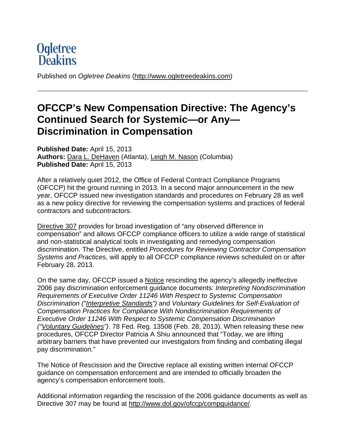# **Ogletree**<br>**Deakins**

Published on *Ogletree Deakins* (http://www.ogletreedeakins.com)

# **OFCCP's New Compensation Directive: The Agency's Continued Search for Systemic—or Any— Discrimination in Compensation**

**Published Date:** April 15, 2013 **Authors:** Dara L. DeHaven (Atlanta), Leigh M. Nason (Columbia) **Published Date:** April 15, 2013

After a relatively quiet 2012, the Office of Federal Contract Compliance Programs (OFCCP) hit the ground running in 2013. In a second major announcement in the new year, OFCCP issued new investigation standards and procedures on February 28 as well as a new policy directive for reviewing the compensation systems and practices of federal contractors and subcontractors.

Directive 307 provides for broad investigation of "any observed difference in compensation" and allows OFCCP compliance officers to utilize a wide range of statistical and non-statistical analytical tools in investigating and remedying compensation discrimination. The Directive, entitled *Procedures for Reviewing Contractor Compensation Systems and Practices*, will apply to all OFCCP compliance reviews scheduled on or after February 28, 2013.

On the same day, OFCCP issued a Notice rescinding the agency's allegedly ineffective 2006 pay discrimination enforcement guidance documents: *Interpreting Nondiscrimination Requirements of Executive Order 11246 With Respect to Systemic Compensation Discrimination ("Interpretive Standards")* and *Voluntary Guidelines for Self-Evaluation of Compensation Practices for Compliance With Nondiscrimination Requirements of Executive Order 11246 With Respect to Systemic Compensation Discrimination ("Voluntary Guidelines")*. 78 Fed. Reg. 13508 (Feb. 28, 2013). When releasing these new procedures, OFCCP Director Patricia A Shiu announced that "Today, we are lifting arbitrary barriers that have prevented our investigators from finding and combating illegal pay discrimination."

The Notice of Rescission and the Directive replace all existing written internal OFCCP guidance on compensation enforcement and are intended to officially broaden the agency's compensation enforcement tools.

Additional information regarding the rescission of the 2006 guidance documents as well as Directive 307 may be found at http://www.dol.gov/ofccp/compguidance/.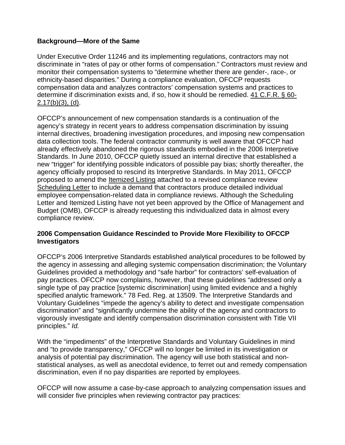#### **Background—More of the Same**

Under Executive Order 11246 and its implementing regulations, contractors may not discriminate in "rates of pay or other forms of compensation." Contractors must review and monitor their compensation systems to "determine whether there are gender-, race-, or ethnicity-based disparities." During a compliance evaluation, OFCCP requests compensation data and analyzes contractors' compensation systems and practices to determine if discrimination exists and, if so, how it should be remedied. 41 C.F.R. § 60-  $2.17(b)(3)$ , (d).

OFCCP's announcement of new compensation standards is a continuation of the agency's strategy in recent years to address compensation discrimination by issuing internal directives, broadening investigation procedures, and imposing new compensation data collection tools. The federal contractor community is well aware that OFCCP had already effectively abandoned the rigorous standards embodied in the 2006 Interpretive Standards. In June 2010, OFCCP quietly issued an internal directive that established a new "trigger" for identifying possible indicators of possible pay bias; shortly thereafter, the agency officially proposed to rescind its Interpretive Standards. In May 2011, OFCCP proposed to amend the Itemized Listing attached to a revised compliance review Scheduling Letter to include a demand that contractors produce detailed individual employee compensation-related data in compliance reviews. Although the Scheduling Letter and Itemized Listing have not yet been approved by the Office of Management and Budget (OMB), OFCCP is already requesting this individualized data in almost every compliance review.

#### **2006 Compensation Guidance Rescinded to Provide More Flexibility to OFCCP Investigators**

OFCCP's 2006 Interpretive Standards established analytical procedures to be followed by the agency in assessing and alleging systemic compensation discrimination; the Voluntary Guidelines provided a methodology and "safe harbor" for contractors' self-evaluation of pay practices. OFCCP now complains, however, that these guidelines "addressed only a single type of pay practice [systemic discrimination] using limited evidence and a highly specified analytic framework." 78 Fed. Reg. at 13509. The Interpretive Standards and Voluntary Guidelines "impede the agency's ability to detect and investigate compensation discrimination" and "significantly undermine the ability of the agency and contractors to vigorously investigate and identify compensation discrimination consistent with Title VII principles." *Id.*

With the "impediments" of the Interpretive Standards and Voluntary Guidelines in mind and "to provide transparency," OFCCP will no longer be limited in its investigation or analysis of potential pay discrimination. The agency will use both statistical and nonstatistical analyses, as well as anecdotal evidence, to ferret out and remedy compensation discrimination, even if no pay disparities are reported by employees.

OFCCP will now assume a case-by-case approach to analyzing compensation issues and will consider five principles when reviewing contractor pay practices: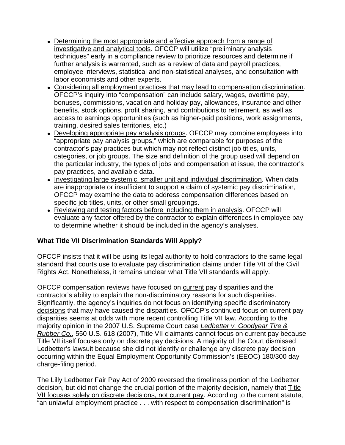- Determining the most appropriate and effective approach from a range of investigative and analytical tools. OFCCP will utilize "preliminary analysis techniques" early in a compliance review to prioritize resources and determine if further analysis is warranted, such as a review of data and payroll practices, employee interviews, statistical and non-statistical analyses, and consultation with labor economists and other experts.
- Considering all employment practices that may lead to compensation discrimination. OFCCP's inquiry into "compensation" can include salary, wages, overtime pay, bonuses, commissions, vacation and holiday pay, allowances, insurance and other benefits, stock options, profit sharing, and contributions to retirement, as well as access to earnings opportunities (such as higher-paid positions, work assignments, training, desired sales territories, etc.)
- Developing appropriate pay analysis groups. OFCCP may combine employees into "appropriate pay analysis groups," which are comparable for purposes of the contractor's pay practices but which may not reflect distinct job titles, units, categories, or job groups. The size and definition of the group used will depend on the particular industry, the types of jobs and compensation at issue, the contractor's pay practices, and available data.
- Investigating large systemic, smaller unit and individual discrimination. When data are inappropriate or insufficient to support a claim of systemic pay discrimination, OFCCP may examine the data to address compensation differences based on specific job titles, units, or other small groupings.
- Reviewing and testing factors before including them in analysis. OFCCP will evaluate any factor offered by the contractor to explain differences in employee pay to determine whether it should be included in the agency's analyses.

#### **What Title VII Discrimination Standards Will Apply?**

OFCCP insists that it will be using its legal authority to hold contractors to the same legal standard that courts use to evaluate pay discrimination claims under Title VII of the Civil Rights Act. Nonetheless, it remains unclear what Title VII standards will apply.

OFCCP compensation reviews have focused on current pay disparities and the contractor's ability to explain the non-discriminatory reasons for such disparities. Significantly, the agency's inquiries do not focus on identifying specific discriminatory decisions that may have caused the disparities. OFCCP's continued focus on current pay disparities seems at odds with more recent controlling Title VII law. According to the majority opinion in the 2007 U.S. Supreme Court case *Ledbetter v. Goodyear Tire & Rubber Co.*, 550 U.S. 618 (2007), Title VII claimants cannot focus on current pay because Title VII itself focuses only on discrete pay decisions. A majority of the Court dismissed Ledbetter's lawsuit because she did not identify or challenge any discrete pay decision occurring within the Equal Employment Opportunity Commission's (EEOC) 180/300 day charge-filing period.

The Lilly Ledbetter Fair Pay Act of 2009 reversed the timeliness portion of the Ledbetter decision, but did not change the crucial portion of the majority decision, namely that Title VII focuses solely on discrete decisions, not current pay. According to the current statute, "an unlawful employment practice . . . with respect to compensation discrimination" is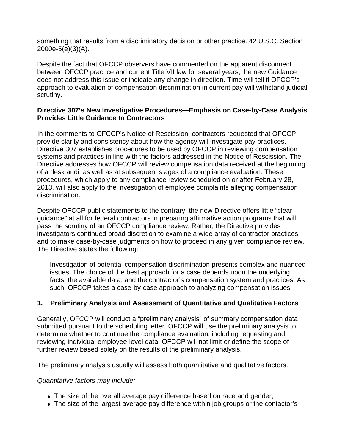something that results from a discriminatory decision or other practice. 42 U.S.C. Section 2000e-5(e)(3)(A).

Despite the fact that OFCCP observers have commented on the apparent disconnect between OFCCP practice and current Title VII law for several years, the new Guidance does not address this issue or indicate any change in direction. Time will tell if OFCCP's approach to evaluation of compensation discrimination in current pay will withstand judicial scrutiny.

#### **Directive 307's New Investigative Procedures—Emphasis on Case-by-Case Analysis Provides Little Guidance to Contractors**

In the comments to OFCCP's Notice of Rescission, contractors requested that OFCCP provide clarity and consistency about how the agency will investigate pay practices. Directive 307 establishes procedures to be used by OFCCP in reviewing compensation systems and practices in line with the factors addressed in the Notice of Rescission. The Directive addresses how OFCCP will review compensation data received at the beginning of a desk audit as well as at subsequent stages of a compliance evaluation. These procedures, which apply to any compliance review scheduled on or after February 28, 2013, will also apply to the investigation of employee complaints alleging compensation discrimination.

Despite OFCCP public statements to the contrary, the new Directive offers little "clear guidance" at all for federal contractors in preparing affirmative action programs that will pass the scrutiny of an OFCCP compliance review. Rather, the Directive provides investigators continued broad discretion to examine a wide array of contractor practices and to make case-by-case judgments on how to proceed in any given compliance review. The Directive states the following:

Investigation of potential compensation discrimination presents complex and nuanced issues. The choice of the best approach for a case depends upon the underlying facts, the available data, and the contractor's compensation system and practices. As such, OFCCP takes a case-by-case approach to analyzing compensation issues.

# **1. Preliminary Analysis and Assessment of Quantitative and Qualitative Factors**

Generally, OFCCP will conduct a "preliminary analysis" of summary compensation data submitted pursuant to the scheduling letter. OFCCP will use the preliminary analysis to determine whether to continue the compliance evaluation, including requesting and reviewing individual employee-level data. OFCCP will not limit or define the scope of further review based solely on the results of the preliminary analysis.

The preliminary analysis usually will assess both quantitative and qualitative factors.

#### *Quantitative factors may include:*

- The size of the overall average pay difference based on race and gender;
- The size of the largest average pay difference within job groups or the contactor's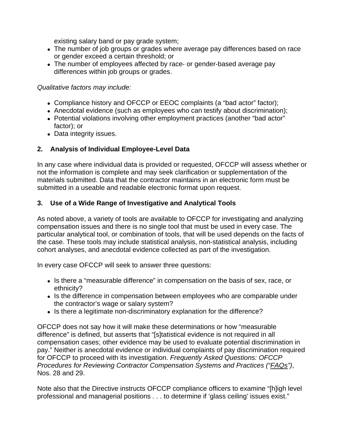existing salary band or pay grade system;

- The number of job groups or grades where average pay differences based on race or gender exceed a certain threshold; or
- The number of employees affected by race- or gender-based average pay differences within job groups or grades.

#### *Qualitative factors may include:*

- Compliance history and OFCCP or EEOC complaints (a "bad actor" factor);
- Anecdotal evidence (such as employees who can testify about discrimination);
- Potential violations involving other employment practices (another "bad actor" factor); or
- Data integrity issues.

#### **2. Analysis of Individual Employee-Level Data**

In any case where individual data is provided or requested, OFCCP will assess whether or not the information is complete and may seek clarification or supplementation of the materials submitted. Data that the contractor maintains in an electronic form must be submitted in a useable and readable electronic format upon request.

### **3. Use of a Wide Range of Investigative and Analytical Tools**

As noted above, a variety of tools are available to OFCCP for investigating and analyzing compensation issues and there is no single tool that must be used in every case. The particular analytical tool, or combination of tools, that will be used depends on the facts of the case. These tools may include statistical analysis, non-statistical analysis, including cohort analyses, and anecdotal evidence collected as part of the investigation.

In every case OFCCP will seek to answer three questions:

- Is there a "measurable difference" in compensation on the basis of sex, race, or ethnicity?
- Is the difference in compensation between employees who are comparable under the contractor's wage or salary system?
- Is there a legitimate non-discriminatory explanation for the difference?

OFCCP does not say how it will make these determinations or how "measurable difference" is defined, but asserts that "[s]tatistical evidence is not required in all compensation cases; other evidence may be used to evaluate potential discrimination in pay." Neither is anecdotal evidence or individual complaints of pay discrimination required for OFCCP to proceed with its investigation. *Frequently Asked Questions: OFCCP Procedures for Reviewing Contractor Compensation Systems and Practices ("FAQs")*, Nos. 28 and 29.

Note also that the Directive instructs OFCCP compliance officers to examine "[h]igh level professional and managerial positions . . . to determine if 'glass ceiling' issues exist."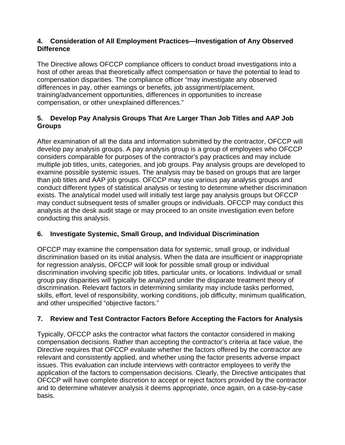#### **4. Consideration of All Employment Practices—Investigation of Any Observed Difference**

The Directive allows OFCCP compliance officers to conduct broad investigations into a host of other areas that theoretically affect compensation or have the potential to lead to compensation disparities. The compliance officer "may investigate any observed differences in pay, other earnings or benefits, job assignment/placement, training/advancement opportunities, differences in opportunities to increase compensation, or other unexplained differences."

#### **5. Develop Pay Analysis Groups That Are Larger Than Job Titles and AAP Job Groups**

After examination of all the data and information submitted by the contractor, OFCCP will develop pay analysis groups. A pay analysis group is a group of employees who OFCCP considers comparable for purposes of the contractor's pay practices and may include multiple job titles, units, categories, and job groups. Pay analysis groups are developed to examine possible systemic issues. The analysis may be based on groups that are larger than job titles and AAP job groups. OFCCP may use various pay analysis groups and conduct different types of statistical analysis or testing to determine whether discrimination exists. The analytical model used will initially test large pay analysis groups but OFCCP may conduct subsequent tests of smaller groups or individuals. OFCCP may conduct this analysis at the desk audit stage or may proceed to an onsite investigation even before conducting this analysis.

# **6. Investigate Systemic, Small Group, and Individual Discrimination**

OFCCP may examine the compensation data for systemic, small group, or individual discrimination based on its initial analysis. When the data are insufficient or inappropriate for regression analysis, OFCCP will look for possible small group or individual discrimination involving specific job titles, particular units, or locations. Individual or small group pay disparities will typically be analyzed under the disparate treatment theory of discrimination. Relevant factors in determining similarity may include tasks performed, skills, effort, level of responsibility, working conditions, job difficulty, minimum qualification, and other unspecified "objective factors."

# **7. Review and Test Contractor Factors Before Accepting the Factors for Analysis**

Typically, OFCCP asks the contractor what factors the contactor considered in making compensation decisions. Rather than accepting the contractor's criteria at face value, the Directive requires that OFCCP evaluate whether the factors offered by the contractor are relevant and consistently applied, and whether using the factor presents adverse impact issues. This evaluation can include interviews with contractor employees to verify the application of the factors to compensation decisions. Clearly, the Directive anticipates that OFCCP will have complete discretion to accept or reject factors provided by the contractor and to determine whatever analysis it deems appropriate, once again, on a case-by-case basis.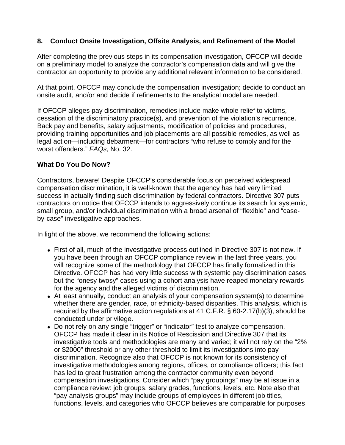#### **8. Conduct Onsite Investigation, Offsite Analysis, and Refinement of the Model**

After completing the previous steps in its compensation investigation, OFCCP will decide on a preliminary model to analyze the contractor's compensation data and will give the contractor an opportunity to provide any additional relevant information to be considered.

At that point, OFCCP may conclude the compensation investigation; decide to conduct an onsite audit, and/or and decide if refinements to the analytical model are needed.

If OFCCP alleges pay discrimination, remedies include make whole relief to victims, cessation of the discriminatory practice(s), and prevention of the violation's recurrence. Back pay and benefits, salary adjustments, modification of policies and procedures, providing training opportunities and job placements are all possible remedies, as well as legal action—including debarment—for contractors "who refuse to comply and for the worst offenders." *FAQs*, No. 32.

#### **What Do You Do Now?**

Contractors, beware! Despite OFCCP's considerable focus on perceived widespread compensation discrimination, it is well-known that the agency has had very limited success in actually finding such discrimination by federal contractors. Directive 307 puts contractors on notice that OFCCP intends to aggressively continue its search for systemic, small group, and/or individual discrimination with a broad arsenal of "flexible" and "caseby-case" investigative approaches.

In light of the above, we recommend the following actions:

- First of all, much of the investigative process outlined in Directive 307 is not new. If you have been through an OFCCP compliance review in the last three years, you will recognize some of the methodology that OFCCP has finally formalized in this Directive. OFCCP has had very little success with systemic pay discrimination cases but the "onesy twosy" cases using a cohort analysis have reaped monetary rewards for the agency and the alleged victims of discrimination.
- At least annually, conduct an analysis of your compensation system(s) to determine whether there are gender, race, or ethnicity-based disparities. This analysis, which is required by the affirmative action regulations at 41 C.F.R. § 60-2.17(b)(3), should be conducted under privilege.
- Do not rely on any single "trigger" or "indicator" test to analyze compensation. OFCCP has made it clear in its Notice of Rescission and Directive 307 that its investigative tools and methodologies are many and varied; it will not rely on the "2% or \$2000" threshold or any other threshold to limit its investigations into pay discrimination. Recognize also that OFCCP is not known for its consistency of investigative methodologies among regions, offices, or compliance officers; this fact has led to great frustration among the contractor community even beyond compensation investigations. Consider which "pay groupings" may be at issue in a compliance review: job groups, salary grades, functions, levels, etc. Note also that "pay analysis groups" may include groups of employees in different job titles, functions, levels, and categories who OFCCP believes are comparable for purposes